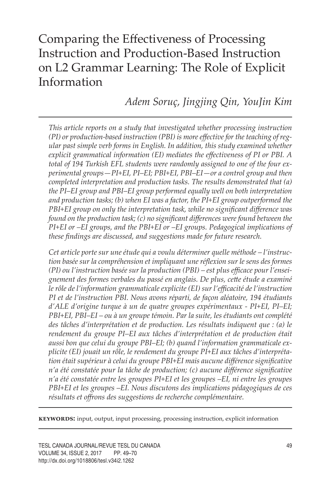# Comparing the Effectiveness of Processing Instruction and Production-Based Instruction on L2 Grammar Learning: The Role of Explicit Information

*Adem Soruç, Jingjing Qin, YouJin Kim*

*This article reports on a study that investigated whether processing instruction (PI) or production-based instruction (PBI) is more effective for the teaching of regular past simple verb forms in English. In addition, this study examined whether explicit grammatical information (EI) mediates the effectiveness of PI or PBI. A total of 194 Turkish EFL students were randomly assigned to one of the four experimental groups—PI+EI, PI–EI; PBI+EI, PBI–EI—or a control group and then completed interpretation and production tasks. The results demonstrated that (a) the PI–EI group and PBI–EI group performed equally well on both interpretation and production tasks; (b) when EI was a factor, the PI+EI group outperformed the PBI+EI group on only the interpretation task, while no significant difference was found on the production task; (c) no significant differences were found between the PI+EI or –EI groups, and the PBI+EI or –EI groups. Pedagogical implications of these findings are discussed, and suggestions made for future research.*

*Cet article porte sur une étude qui a voulu déterminer quelle méthode – l'instruction basée sur la compréhension et impliquant une réflexion sur le sens des formes (PI) ou l'instruction basée sur la production (PBI) – est plus efficace pour l'enseignement des formes verbales du passé en anglais. De plus, cette étude a examiné le rôle de l'information grammaticale explicite (EI) sur l'efficacité de l'instruction PI et de l'instruction PBI. Nous avons réparti, de façon aléatoire, 194 étudiants d'ALE d'origine turque à un de quatre groupes expérimentaux - PI+EI, PI–EI; PBI+EI, PBI–EI – ou à un groupe témoin. Par la suite, les étudiants ont complété des tâches d'interprétation et de production. Les résultats indiquent que : (a) le rendement du groupe PI–EI aux tâches d'interprétation et de production était aussi bon que celui du groupe PBI–EI; (b) quand l'information grammaticale explicite (EI) jouait un rôle, le rendement du groupe PI+EI aux tâches d'interprétation était supérieur à celui du groupe PBI+EI mais aucune différence significative n'a été constatée pour la tâche de production; (c) aucune différence significative n'a été constatée entre les groupes PI+EI et les groupes –EI, ni entre les groupes PBI+EI et les groupes –EI. Nous discutons des implications pédagogiques de ces résultats et offrons des suggestions de recherche complémentaire.* 

**keywords:** input, output, input processing, processing instruction, explicit information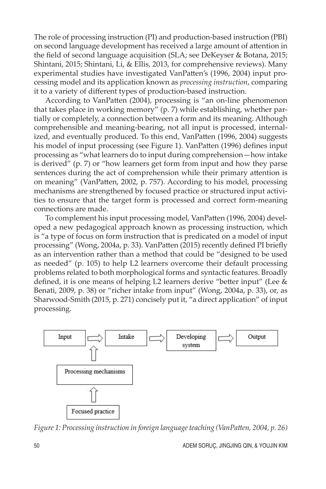The role of processing instruction (PI) and production-based instruction (PBI) on second language development has received a large amount of attention in the field of second language acquisition (SLA; see DeKeyser & Botana, 2015; Shintani, 2015; Shintani, Li, & Ellis, 2013, for comprehensive reviews). Many experimental studies have investigated VanPatten's (1996, 2004) input processing model and its application known as *processing instruction*, comparing it to a variety of different types of production-based instruction.

According to VanPatten (2004), processing is "an on-line phenomenon that takes place in working memory" (p. 7) while establishing, whether partially or completely, a connection between a form and its meaning. Although comprehensible and meaning-bearing, not all input is processed, internalized, and eventually produced. To this end, VanPatten (1996, 2004) suggests his model of input processing (see Figure 1). VanPatten (1996) defines input processing as "what learners do to input during comprehension—how intake is derived" (p. 7) or "how learners get form from input and how they parse sentences during the act of comprehension while their primary attention is on meaning" (VanPatten, 2002, p. 757). According to his model, processing mechanisms are strengthened by focused practice or structured input activities to ensure that the target form is processed and correct form-meaning connections are made.

To complement his input processing model, VanPatten (1996, 2004) developed a new pedagogical approach known as processing instruction, which is "a type of focus on form instruction that is predicated on a model of input processing" (Wong, 2004a, p. 33). VanPatten (2015) recently defined PI briefly as an intervention rather than a method that could be "designed to be used as needed" (p. 105) to help L2 learners overcome their default processing problems related to both morphological forms and syntactic features. Broadly defined, it is one means of helping L2 learners derive "better input" (Lee & Benati, 2009, p. 38) or "richer intake from input" (Wong, 2004a, p. 33), or, as Sharwood-Smith (2015, p. 271) concisely put it, "a direct application" of input processing.



*Figure 1: Processing instruction in foreign language teaching (VanPatten, 2004, p. 26)*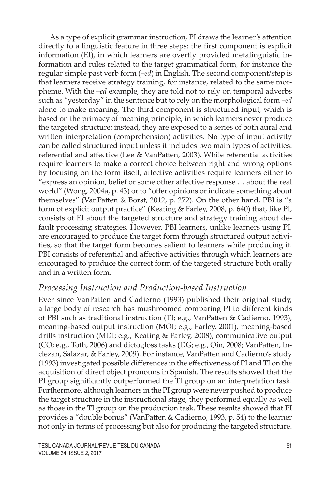As a type of explicit grammar instruction, PI draws the learner's attention directly to a linguistic feature in three steps: the first component is explicit information (EI), in which learners are overtly provided metalinguistic information and rules related to the target grammatical form, for instance the regular simple past verb form (*–ed*) in English. The second component/step is that learners receive strategy training, for instance, related to the same morpheme. With the *–ed* example, they are told not to rely on temporal adverbs such as "yesterday" in the sentence but to rely on the morphological form *–ed* alone to make meaning. The third component is structured input, which is based on the primacy of meaning principle, in which learners never produce the targeted structure; instead, they are exposed to a series of both aural and written interpretation (comprehension) activities. No type of input activity can be called structured input unless it includes two main types of activities: referential and affective (Lee & VanPatten, 2003). While referential activities require learners to make a correct choice between right and wrong options by focusing on the form itself, affective activities require learners either to "express an opinion, belief or some other affective response … about the real world" (Wong, 2004a, p. 43) or to "offer opinions or indicate something about themselves" (VanPatten & Borst, 2012, p. 272). On the other hand, PBI is "a form of explicit output practice" (Keating & Farley, 2008, p. 640) that, like PI, consists of EI about the targeted structure and strategy training about default processing strategies. However, PBI learners, unlike learners using PI, are encouraged to produce the target form through structured output activities, so that the target form becomes salient to learners while producing it. PBI consists of referential and affective activities through which learners are encouraged to produce the correct form of the targeted structure both orally and in a written form.

### *Processing Instruction and Production-based Instruction*

Ever since VanPatten and Cadierno (1993) published their original study, a large body of research has mushroomed comparing PI to different kinds of PBI such as traditional instruction (TI; e.g., VanPatten & Cadierno, 1993), meaning-based output instruction (MOI; e.g., Farley, 2001), meaning-based drills instruction (MDI; e.g., Keating & Farley, 2008), communicative output (CO; e.g., Toth, 2006) and dictogloss tasks (DG; e.g., Qin, 2008; VanPatten, Inclezan, Salazar, & Farley, 2009). For instance, VanPatten and Cadierno's study (1993) investigated possible differences in the effectiveness of PI and TI on the acquisition of direct object pronouns in Spanish. The results showed that the PI group significantly outperformed the TI group on an interpretation task. Furthermore, although learners in the PI group were never pushed to produce the target structure in the instructional stage, they performed equally as well as those in the TI group on the production task. These results showed that PI provides a "double bonus" (VanPatten & Cadierno, 1993, p. 54) to the learner not only in terms of processing but also for producing the targeted structure.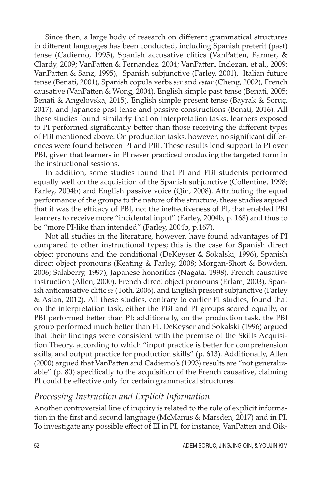Since then, a large body of research on different grammatical structures in different languages has been conducted, including Spanish preterit (past) tense (Cadierno, 1995), Spanish accusative clitics (VanPatten, Farmer, & Clardy, 2009; VanPatten & Fernandez, 2004; VanPatten, Inclezan, et al., 2009; VanPatten & Sanz, 1995), Spanish subjunctive (Farley, 2001), Italian future tense (Benati, 2001), Spanish copula verbs *ser* and *estar* (Cheng, 2002), French causative (VanPatten & Wong, 2004), English simple past tense (Benati, 2005; Benati & Angelovska, 2015), English simple present tense (Bayrak & Soruç, 2017), and Japanese past tense and passive constructions (Benati, 2016). All these studies found similarly that on interpretation tasks, learners exposed to PI performed significantly better than those receiving the different types of PBI mentioned above. On production tasks, however, no significant differences were found between PI and PBI. These results lend support to PI over PBI, given that learners in PI never practiced producing the targeted form in the instructional sessions.

In addition, some studies found that PI and PBI students performed equally well on the acquisition of the Spanish subjunctive (Collentine, 1998; Farley, 2004b) and English passive voice (Qin, 2008). Attributing the equal performance of the groups to the nature of the structure, these studies argued that it was the efficacy of PBI, not the ineffectiveness of PI, that enabled PBI learners to receive more "incidental input" (Farley, 2004b, p. 168) and thus to be "more PI-like than intended" (Farley, 2004b, p.167).

Not all studies in the literature, however, have found advantages of PI compared to other instructional types; this is the case for Spanish direct object pronouns and the conditional (DeKeyser & Sokalski, 1996), Spanish direct object pronouns (Keating & Farley, 2008; Morgan-Short & Bowden, 2006; Salaberry, 1997), Japanese honorifics (Nagata, 1998), French causative instruction (Allen, 2000), French direct object pronouns (Erlam, 2003), Spanish anticausative clitic *se* (Toth, 2006), and English present subjunctive (Farley & Aslan, 2012). All these studies, contrary to earlier PI studies, found that on the interpretation task, either the PBI and PI groups scored equally, or PBI performed better than PI; additionally, on the production task, the PBI group performed much better than PI. DeKeyser and Sokalski (1996) argued that their findings were consistent with the premise of the Skills Acquisition Theory, according to which "input practice is better for comprehension skills, and output practice for production skills" (p. 613). Additionally, Allen (2000) argued that VanPatten and Cadierno's (1993) results are "not generalizable" (p. 80) specifically to the acquisition of the French causative, claiming PI could be effective only for certain grammatical structures.

#### *Processing Instruction and Explicit Information*

Another controversial line of inquiry is related to the role of explicit information in the first and second language (McManus & Marsden, 2017) and in PI. To investigate any possible effect of EI in PI, for instance, VanPatten and Oik-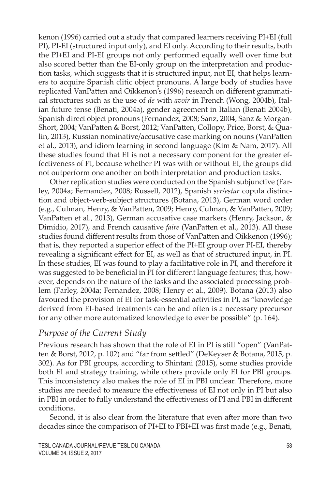kenon (1996) carried out a study that compared learners receiving PI+EI (full PI), PI-EI (structured input only), and EI only. According to their results, both the PI+EI and PI-EI groups not only performed equally well over time but also scored better than the EI-only group on the interpretation and production tasks, which suggests that it is structured input, not EI, that helps learners to acquire Spanish clitic object pronouns. A large body of studies have replicated VanPatten and Oikkenon's (1996) research on different grammatical structures such as the use of *de* with *avoir* in French (Wong, 2004b), Italian future tense (Benati, 2004a), gender agreement in Italian (Benati 2004b), Spanish direct object pronouns (Fernandez, 2008; Sanz, 2004; Sanz & Morgan-Short, 2004; VanPatten & Borst, 2012; VanPatten, Collopy, Price, Borst, & Qualin, 2013), Russian nominative/accusative case marking on nouns (VanPatten et al., 2013), and idiom learning in second language (Kim & Nam, 2017). All these studies found that EI is not a necessary component for the greater effectiveness of PI, because whether PI was with or without EI, the groups did not outperform one another on both interpretation and production tasks.

Other replication studies were conducted on the Spanish subjunctive (Farley, 2004a; Fernandez, 2008; Russell, 2012), Spanish *ser/estar* copula distinction and object-verb-subject structures (Botana, 2013), German word order (e.g., Culman, Henry, & VanPatten, 2009; Henry, Culman, & VanPatten, 2009; VanPatten et al., 2013), German accusative case markers (Henry, Jackson, & Dimidio, 2017), and French causative *faire* (VanPatten et al., 2013). All these studies found different results from those of VanPatten and Oikkenon (1996); that is, they reported a superior effect of the PI+EI group over PI-EI, thereby revealing a significant effect for EI, as well as that of structured input, in PI. In these studies, EI was found to play a facilitative role in PI, and therefore it was suggested to be beneficial in PI for different language features; this, however, depends on the nature of the tasks and the associated processing problem (Farley, 2004a; Fernandez, 2008; Henry et al., 2009). Botana (2013) also favoured the provision of EI for task-essential activities in PI, as "knowledge derived from EI-based treatments can be and often is a necessary precursor for any other more automatized knowledge to ever be possible" (p. 164).

### *Purpose of the Current Study*

Previous research has shown that the role of EI in PI is still "open" (VanPatten & Borst, 2012, p. 102) and "far from settled" (DeKeyser & Botana, 2015, p. 302). As for PBI groups, according to Shintani (2015), some studies provide both EI and strategy training, while others provide only EI for PBI groups. This inconsistency also makes the role of EI in PBI unclear. Therefore, more studies are needed to measure the effectiveness of EI not only in PI but also in PBI in order to fully understand the effectiveness of PI and PBI in different conditions.

Second, it is also clear from the literature that even after more than two decades since the comparison of PI+EI to PBI+EI was first made (e.g., Benati,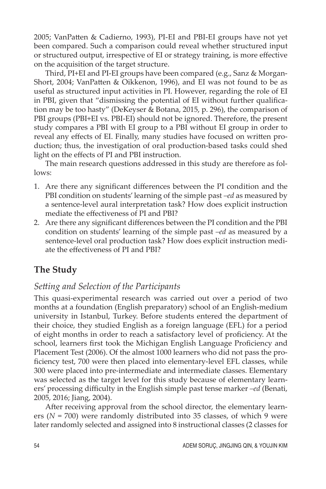2005; VanPatten & Cadierno, 1993), PI-EI and PBI-EI groups have not yet been compared. Such a comparison could reveal whether structured input or structured output, irrespective of EI or strategy training, is more effective on the acquisition of the target structure.

Third, PI+EI and PI-EI groups have been compared (e.g., Sanz & Morgan-Short, 2004; VanPatten & Oikkenon, 1996), and EI was not found to be as useful as structured input activities in PI. However, regarding the role of EI in PBI, given that "dismissing the potential of EI without further qualification may be too hasty" (DeKeyser & Botana, 2015, p. 296), the comparison of PBI groups (PBI+EI vs. PBI-EI) should not be ignored. Therefore, the present study compares a PBI with EI group to a PBI without EI group in order to reveal any effects of EI. Finally, many studies have focused on written production; thus, the investigation of oral production-based tasks could shed light on the effects of PI and PBI instruction.

The main research questions addressed in this study are therefore as follows:

- 1. Are there any significant differences between the PI condition and the PBI condition on students' learning of the simple past *–ed* as measured by a sentence-level aural interpretation task? How does explicit instruction mediate the effectiveness of PI and PBI?
- 2. Are there any significant differences between the PI condition and the PBI condition on students' learning of the simple past *–ed* as measured by a sentence-level oral production task? How does explicit instruction mediate the effectiveness of PI and PBI?

## **The Study**

### *Setting and Selection of the Participants*

This quasi-experimental research was carried out over a period of two months at a foundation (English preparatory) school of an English-medium university in Istanbul, Turkey. Before students entered the department of their choice, they studied English as a foreign language (EFL) for a period of eight months in order to reach a satisfactory level of proficiency. At the school, learners first took the Michigan English Language Proficiency and Placement Test (2006). Of the almost 1000 learners who did not pass the proficiency test, 700 were then placed into elementary-level EFL classes, while 300 were placed into pre-intermediate and intermediate classes. Elementary was selected as the target level for this study because of elementary learners' processing difficulty in the English simple past tense marker *–ed* (Benati, 2005, 2016; Jiang, 2004).

After receiving approval from the school director, the elementary learners (*N* = 700) were randomly distributed into 35 classes, of which 9 were later randomly selected and assigned into 8 instructional classes (2 classes for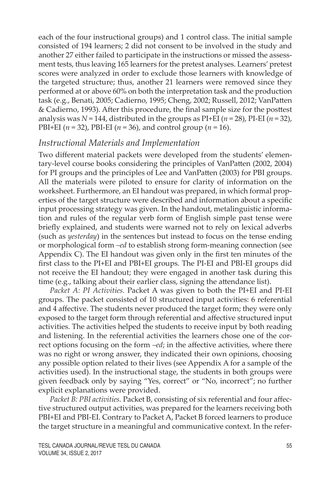each of the four instructional groups) and 1 control class. The initial sample consisted of 194 learners; 2 did not consent to be involved in the study and another 27 either failed to participate in the instructions or missed the assessment tests, thus leaving 165 learners for the pretest analyses. Learners' pretest scores were analyzed in order to exclude those learners with knowledge of the targeted structure; thus, another 21 learners were removed since they performed at or above 60% on both the interpretation task and the production task (e.g., Benati, 2005; Cadierno, 1995; Cheng, 2002; Russell, 2012; VanPatten & Cadierno, 1993). After this procedure, the final sample size for the posttest analysis was  $N = 144$ , distributed in the groups as PI+EI ( $n = 28$ ), PI-EI ( $n = 32$ ), PBI+EI (*n* = 32), PBI-EI (*n* = 36), and control group (*n* = 16).

### *Instructional Materials and Implementation*

Two different material packets were developed from the students' elementary-level course books considering the principles of VanPatten (2002, 2004) for PI groups and the principles of Lee and VanPatten (2003) for PBI groups. All the materials were piloted to ensure for clarity of information on the worksheet. Furthermore, an EI handout was prepared, in which formal properties of the target structure were described and information about a specific input processing strategy was given. In the handout, metalinguistic information and rules of the regular verb form of English simple past tense were briefly explained, and students were warned not to rely on lexical adverbs (such as *yesterday*) in the sentences but instead to focus on the tense ending or morphological form *–ed* to establish strong form-meaning connection (see Appendix C). The EI handout was given only in the first ten minutes of the first class to the PI+EI and PBI+EI groups. The PI-EI and PBI-EI groups did not receive the EI handout; they were engaged in another task during this time (e.g., talking about their earlier class, signing the attendance list).

*Packet A: PI Activities.* Packet A was given to both the PI+EI and PI-EI groups. The packet consisted of 10 structured input activities: 6 referential and 4 affective. The students never produced the target form; they were only exposed to the target form through referential and affective structured input activities. The activities helped the students to receive input by both reading and listening. In the referential activities the learners chose one of the correct options focusing on the form *–ed*; in the affective activities, where there was no right or wrong answer, they indicated their own opinions, choosing any possible option related to their lives (see Appendix A for a sample of the activities used). In the instructional stage, the students in both groups were given feedback only by saying "Yes, correct" or "No, incorrect"; no further explicit explanations were provided.

*Packet B: PBI activities.* Packet B, consisting of six referential and four affective structured output activities, was prepared for the learners receiving both PBI+EI and PBI-EI. Contrary to Packet A, Packet B forced learners to produce the target structure in a meaningful and communicative context. In the refer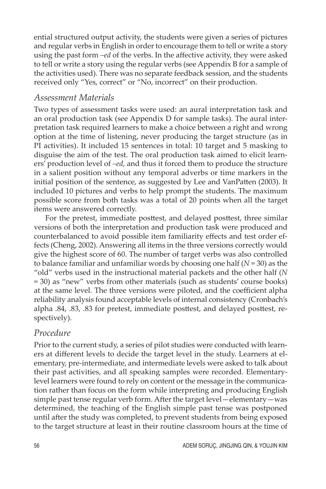ential structured output activity, the students were given a series of pictures and regular verbs in English in order to encourage them to tell or write a story using the past form *–ed* of the verbs. In the affective activity, they were asked to tell or write a story using the regular verbs (see Appendix B for a sample of the activities used). There was no separate feedback session, and the students received only "Yes, correct" or "No, incorrect" on their production.

#### *Assessment Materials*

Two types of assessment tasks were used: an aural interpretation task and an oral production task (see Appendix D for sample tasks). The aural interpretation task required learners to make a choice between a right and wrong option at the time of listening, never producing the target structure (as in PI activities). It included 15 sentences in total: 10 target and 5 masking to disguise the aim of the test. The oral production task aimed to elicit learners' production level of *–ed*, and thus it forced them to produce the structure in a salient position without any temporal adverbs or time markers in the initial position of the sentence, as suggested by Lee and VanPatten (2003). It included 10 pictures and verbs to help prompt the students. The maximum possible score from both tasks was a total of 20 points when all the target items were answered correctly.

For the pretest, immediate posttest, and delayed posttest, three similar versions of both the interpretation and production task were produced and counterbalanced to avoid possible item familiarity effects and test order effects (Cheng, 2002). Answering all items in the three versions correctly would give the highest score of 60. The number of target verbs was also controlled to balance familiar and unfamiliar words by choosing one half (*N* = 30) as the "old" verbs used in the instructional material packets and the other half (*N* = 30) as "new" verbs from other materials (such as students' course books) at the same level. The three versions were piloted, and the coefficient alpha reliability analysis found acceptable levels of internal consistency (Cronbach's alpha .84, .83, .83 for pretest, immediate posttest, and delayed posttest, respectively).

#### *Procedure*

Prior to the current study, a series of pilot studies were conducted with learners at different levels to decide the target level in the study. Learners at elementary, pre-intermediate, and intermediate levels were asked to talk about their past activities, and all speaking samples were recorded. Elementarylevel learners were found to rely on content or the message in the communication rather than focus on the form while interpreting and producing English simple past tense regular verb form. After the target level—elementary—was determined, the teaching of the English simple past tense was postponed until after the study was completed, to prevent students from being exposed to the target structure at least in their routine classroom hours at the time of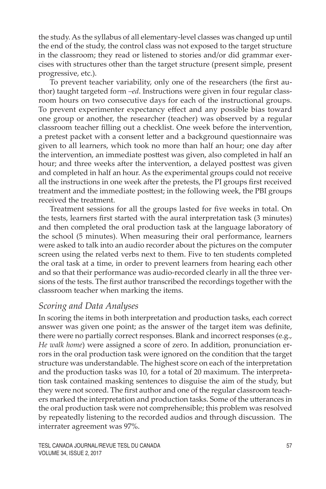the study. As the syllabus of all elementary-level classes was changed up until the end of the study, the control class was not exposed to the target structure in the classroom; they read or listened to stories and/or did grammar exercises with structures other than the target structure (present simple, present progressive, etc.).

To prevent teacher variability, only one of the researchers (the first author) taught targeted form *–ed*. Instructions were given in four regular classroom hours on two consecutive days for each of the instructional groups. To prevent experimenter expectancy effect and any possible bias toward one group or another, the researcher (teacher) was observed by a regular classroom teacher filling out a checklist. One week before the intervention, a pretest packet with a consent letter and a background questionnaire was given to all learners, which took no more than half an hour; one day after the intervention, an immediate posttest was given, also completed in half an hour; and three weeks after the intervention, a delayed posttest was given and completed in half an hour. As the experimental groups could not receive all the instructions in one week after the pretests, the PI groups first received treatment and the immediate posttest; in the following week, the PBI groups received the treatment.

Treatment sessions for all the groups lasted for five weeks in total. On the tests, learners first started with the aural interpretation task (3 minutes) and then completed the oral production task at the language laboratory of the school (5 minutes). When measuring their oral performance, learners were asked to talk into an audio recorder about the pictures on the computer screen using the related verbs next to them. Five to ten students completed the oral task at a time, in order to prevent learners from hearing each other and so that their performance was audio-recorded clearly in all the three versions of the tests. The first author transcribed the recordings together with the classroom teacher when marking the items.

### *Scoring and Data Analyses*

In scoring the items in both interpretation and production tasks, each correct answer was given one point; as the answer of the target item was definite, there were no partially correct responses. Blank and incorrect responses (e.g., *He walk home*) were assigned a score of zero. In addition, pronunciation errors in the oral production task were ignored on the condition that the target structure was understandable. The highest score on each of the interpretation and the production tasks was 10, for a total of 20 maximum. The interpretation task contained masking sentences to disguise the aim of the study, but they were not scored. The first author and one of the regular classroom teachers marked the interpretation and production tasks. Some of the utterances in the oral production task were not comprehensible; this problem was resolved by repeatedly listening to the recorded audios and through discussion. The interrater agreement was 97%.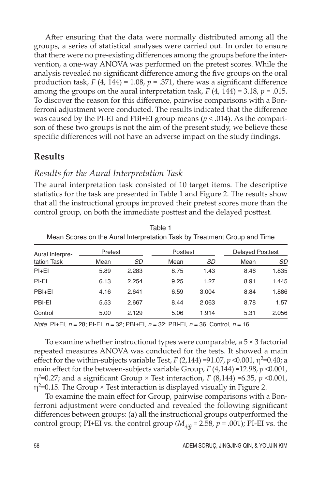After ensuring that the data were normally distributed among all the groups, a series of statistical analyses were carried out. In order to ensure that there were no pre-existing differences among the groups before the intervention, a one-way ANOVA was performed on the pretest scores. While the analysis revealed no significant difference among the five groups on the oral production task,  $F(4, 144) = 1.08$ ,  $p = .371$ , there was a significant difference among the groups on the aural interpretation task,  $F(4, 144) = 3.18$ ,  $p = .015$ . To discover the reason for this difference, pairwise comparisons with a Bonferroni adjustment were conducted. The results indicated that the difference was caused by the PI-EI and PBI+EI group means  $(p < .014)$ . As the comparison of these two groups is not the aim of the present study, we believe these specific differences will not have an adverse impact on the study findings.

#### **Results**

#### *Results for the Aural Interpretation Task*

The aural interpretation task consisted of 10 target items. The descriptive statistics for the task are presented in Table 1 and Figure 2. The results show that all the instructional groups improved their pretest scores more than the control group, on both the immediate posttest and the delayed posttest.

| Aural Interpre-<br>tation Task | Pretest |       | Posttest |           | <b>Delayed Posttest</b> |           |
|--------------------------------|---------|-------|----------|-----------|-------------------------|-----------|
|                                | Mean    | SD    | Mean     | <b>SD</b> | Mean                    | <b>SD</b> |
| $PI + EI$                      | 5.89    | 2.283 | 8.75     | 1.43      | 8.46                    | 1.835     |
| $PI-EI$                        | 6.13    | 2.254 | 9.25     | 1.27      | 8.91                    | 1.445     |
| PBI+EI                         | 4.16    | 2.641 | 6.59     | 3.004     | 8.84                    | 1.886     |
| PBI-EI                         | 5.53    | 2.667 | 8.44     | 2.063     | 8.78                    | 1.57      |
| Control                        | 5.00    | 2.129 | 5.06     | 1.914     | 5.31                    | 2.056     |

Table 1 Mean Scores on the Aural Interpretation Task by Treatment Group and Time

*Note*. PI+EI, *n* = 28; PI-EI, *n* = 32; PBI+EI, *n* = 32; PBI-EI, *n* = 36; Control, *n* = 16.

To examine whether instructional types were comparable, a 5 × 3 factorial repeated measures ANOVA was conducted for the tests. It showed a main effect for the within-subjects variable Test,  $F(2,144) = 91.07$ ,  $p < 0.001$ ,  $p^2 = 0.40$ ; a main effect for the between-subjects variable Group, *F* (4,144) =12.98, *p* <0.001, η<sup>2</sup>=0.27; and a significant Group × Test interaction, *F* (8,144) =6.35, *p* <0.001,  $\eta^2$ =0.15. The Group  $\times$  Test interaction is displayed visually in Figure 2.

To examine the main effect for Group, pairwise comparisons with a Bonferroni adjustment were conducted and revealed the following significant differences between groups: (a) all the instructional groups outperformed the control group; PI+EI vs. the control group  $(M_{diff} = 2.58, p = .001)$ ; PI-EI vs. the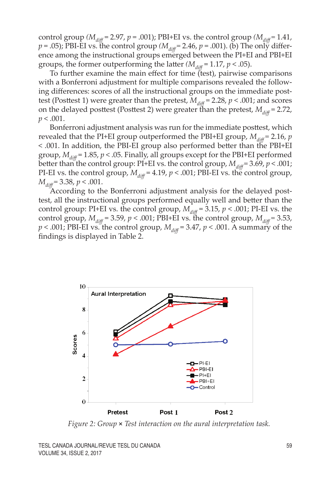control group *(M<sub>diff</sub>* = 2.97, *p* = .001); PBI+EI vs. the control group *(M<sub>diff</sub>* = 1.41,  $p = .05$ ); PBI-EI vs. the control group *(M*<sub>*diff*</sub> = 2.46,  $p = .001$ ). (b) The only difference among the instructional groups emerged between the PI+EI and PBI+EI groups, the former outperforming the latter  $(M_{diff} = 1.17, p < .05)$ .

To further examine the main effect for time (test), pairwise comparisons with a Bonferroni adjustment for multiple comparisons revealed the following differences: scores of all the instructional groups on the immediate posttest (Posttest 1) were greater than the pretest,  $M_{diff}$  = 2.28,  $p$  < .001; and scores on the delayed posttest (Posttest 2) were greater than the pretest,  $M_{\text{diff}} = 2.72$ ,  $p < .001$ .

Bonferroni adjustment analysis was run for the immediate posttest, which revealed that the PI+EI group outperformed the PBI+EI group,  $M_{diff} = 2.16$ ,  $p$ < .001. In addition, the PBI-EI group also performed better than the PBI+EI group,  $M_{diff}$  = 1.85,  $p < 0.05$ . Finally, all groups except for the PBI+EI performed better than the control group: PI+EI vs. the control group,  $M_{diff} = 3.69$ ,  $p < .001$ ; PI-EI vs. the control group,  $M_{diff} = 4.19$ ,  $p < .001$ ; PBI-EI vs. the control group, *Mdiff =* 3.38, *p* < .001.

According to the Bonferroni adjustment analysis for the delayed posttest, all the instructional groups performed equally well and better than the control group: PI+EI vs. the control group,  $M_{diff}$  = 3.15,  $p < .001$ ; PI-EI vs. the control group,  $M_{\text{diff}} = 3.59$ ,  $p < .001$ ; PBI+EI vs. the control group,  $M_{\text{diff}} = 3.53$ ,  $p < .001$ ; PBI-EI vs. the control group,  $M_{diff} = 3.47$ ,  $p < .001$ . A summary of the findings is displayed in Table 2.



*Figure 2: Group × Test interaction on the aural interpretation task.*

TESL CANADA JOURNAL/REVUE TESL DU CANADA 59 Volume 34, issue 2, 2017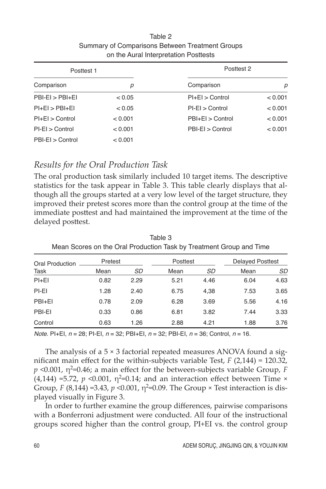| 0.1 o , .a.a. o.p.o.ao . oooo |         |                      |         |  |
|-------------------------------|---------|----------------------|---------|--|
| Posttest 1                    |         | Posttest 2           |         |  |
| Comparison                    | р       | Comparison           | р       |  |
| $PBI-EI > PBI+EI$             | < 0.05  | $PI+EI >$ Control    | < 0.001 |  |
| $PI+EI > PBI+EI$              | < 0.05  | $PI-EI > Control$    | < 0.001 |  |
| $PI+EI > Control$             | < 0.001 | $PBI + El > Control$ | < 0.001 |  |
| $PI-EI > Control$             | < 0.001 | $PBI-EI > Control$   | < 0.001 |  |
| $PBI-EI > Control$            | < 0.001 |                      |         |  |

#### Table 2 Summary of Comparisons Between Treatment Groups on the Aural Interpretation Posttests

### *Results for the Oral Production Task*

The oral production task similarly included 10 target items. The descriptive statistics for the task appear in Table 3. This table clearly displays that although all the groups started at a very low level of the target structure, they improved their pretest scores more than the control group at the time of the immediate posttest and had maintained the improvement at the time of the delayed posttest.

| <u>Mean Scores on the Oral Froughton Task by Treatment Group and Time</u> |         |      |          |      |                         |           |
|---------------------------------------------------------------------------|---------|------|----------|------|-------------------------|-----------|
| <b>Oral Production</b><br>Task                                            | Pretest |      | Posttest |      | <b>Delayed Posttest</b> |           |
|                                                                           | Mean    | SD   | Mean     | SD   | Mean                    | <b>SD</b> |
| $PI+EI$                                                                   | 0.82    | 2.29 | 5.21     | 4.46 | 6.04                    | 4.63      |
| PI-EI                                                                     | 1.28    | 2.40 | 6.75     | 4,38 | 7.53                    | 3.65      |
| PBI+EI                                                                    | 0.78    | 2.09 | 6.28     | 3.69 | 5.56                    | 4.16      |
| PBI-EI                                                                    | 0.33    | 0.86 | 6.81     | 3.82 | 7.44                    | 3.33      |
| Control                                                                   | 0.63    | 1.26 | 2.88     | 4.21 | 1.88                    | 3.76      |

Table 3 Mean Scores on the Oral Production Task by Treatment Group and Time

*Note*. PI+EI, *n* = 28; PI-EI, *n* = 32; PBI+EI, *n* = 32; PBI-EI, *n* = 36; Control, *n* = 16.

The analysis of a 5 × 3 factorial repeated measures ANOVA found a significant main effect for the within-subjects variable Test, *F* (2,144) = 120.32, *p* <0.001, η<sup>2</sup>=0.46; a main effect for the between-subjects variable Group, *F*  $(4,144)$  =5.72,  $p \le 0.001$ ,  $\eta^2$ =0.14; and an interaction effect between Time × Group, *F* (8,144) =3.43, *p* <0.001,  $\eta^2$ =0.09. The Group × Test interaction is displayed visually in Figure 3.

In order to further examine the group differences, pairwise comparisons with a Bonferroni adjustment were conducted. All four of the instructional groups scored higher than the control group, PI+EI vs. the control group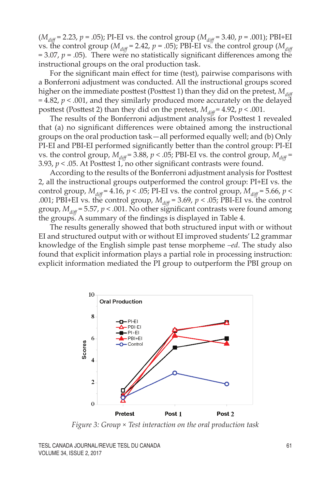$(M_{diff} = 2.23, p = .05)$ ; PI-EI vs. the control group  $(M_{diff} = 3.40, p = .001)$ ; PBI+EI vs. the control group ( $M_{diff}$  = 2.42,  $p$  = .05); PBI-EI vs. the control group ( $M_{diff}$  $= 3.07$ ,  $p = .05$ ). There were no statistically significant differences among the instructional groups on the oral production task.

For the significant main effect for time (test), pairwise comparisons with a Bonferroni adjustment was conducted. All the instructional groups scored higher on the immediate posttest (Posttest 1) than they did on the pretest,  $M_{diff}$  $= 4.82$ ,  $p < .001$ , and they similarly produced more accurately on the delayed posttest (Posttest 2) than they did on the pretest,  $M_{diff} = 4.92$ ,  $p < .001$ .

The results of the Bonferroni adjustment analysis for Posttest 1 revealed that (a) no significant differences were obtained among the instructional groups on the oral production task—all performed equally well; and (b) Only PI-EI and PBI-EI performed significantly better than the control group: PI-EI vs. the control group,  $M_{di\hat{H}} = 3.88$ ,  $p < .05$ ; PBI-EI vs. the control group,  $M_{di\hat{H}} =$ 3.93, *p* < .05. At Posttest 1, no other significant contrasts were found.

According to the results of the Bonferroni adjustment analysis for Posttest 2, all the instructional groups outperformed the control group: PI+EI vs. the control group,  $M_{diff} = 4.16$ ,  $p < .05$ ; PI-EI vs. the control group,  $M_{diff} = 5.66$ ,  $p <$ .001; PBI+EI vs. the control group,  $M_{diff}$  = 3.69,  $p < .05$ ; PBI-EI vs. the control group,  $M_{\text{diff}}$  = 5.57,  $p < .001$ . No other significant contrasts were found among the groups. A summary of the findings is displayed in Table 4.

The results generally showed that both structured input with or without EI and structured output with or without EI improved students' L2 grammar knowledge of the English simple past tense morpheme *–ed*. The study also found that explicit information plays a partial role in processing instruction: explicit information mediated the PI group to outperform the PBI group on



*Figure 3: Group × Test interaction on the oral production task*

TESL CANADA JOURNAL/REVUE TESL DU CANADA 61 Volume 34, issue 2, 2017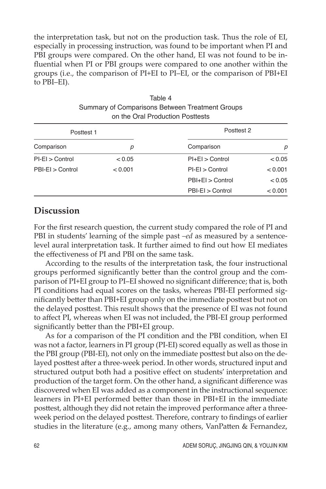the interpretation task, but not on the production task. Thus the role of EI, especially in processing instruction, was found to be important when PI and PBI groups were compared. On the other hand, EI was not found to be influential when PI or PBI groups were compared to one another within the groups (i.e., the comparison of PI+EI to PI–EI, or the comparison of PBI+EI to PBI–EI).

|                   |         | OIT THE OTAL PTOQUOTION POSITESTS |         |
|-------------------|---------|-----------------------------------|---------|
| Posttest 1        |         | Posttest 2                        |         |
| Comparison        | р       | Comparison                        | р       |
| $PI-EI > Control$ | < 0.05  | $PI+EI > Control$                 | < 0.05  |
| PBI-EI > Control  | < 0.001 | $PI-EI > Control$                 | < 0.001 |
|                   |         | $PBI + El > Control$              | < 0.05  |
|                   |         | $PBI-EI > Control$                | < 0.001 |

Table 4 Summary of Comparisons Between Treatment Groups on the Oral Production Posttests

#### **Discussion**

For the first research question, the current study compared the role of PI and PBI in students' learning of the simple past *–ed* as measured by a sentencelevel aural interpretation task. It further aimed to find out how EI mediates the effectiveness of PI and PBI on the same task.

According to the results of the interpretation task, the four instructional groups performed significantly better than the control group and the comparison of PI+EI group to PI–EI showed no significant difference; that is, both PI conditions had equal scores on the tasks, whereas PBI-EI performed significantly better than PBI+EI group only on the immediate posttest but not on the delayed posttest. This result shows that the presence of EI was not found to affect PI, whereas when EI was not included, the PBI-EI group performed significantly better than the PBI+EI group.

As for a comparison of the PI condition and the PBI condition, when EI was not a factor, learners in PI group (PI-EI) scored equally as well as those in the PBI group (PBI-EI), not only on the immediate posttest but also on the delayed posttest after a three-week period. In other words, structured input and structured output both had a positive effect on students' interpretation and production of the target form. On the other hand, a significant difference was discovered when EI was added as a component in the instructional sequence: learners in PI+EI performed better than those in PBI+EI in the immediate posttest, although they did not retain the improved performance after a threeweek period on the delayed posttest. Therefore, contrary to findings of earlier studies in the literature (e.g., among many others, VanPatten & Fernandez,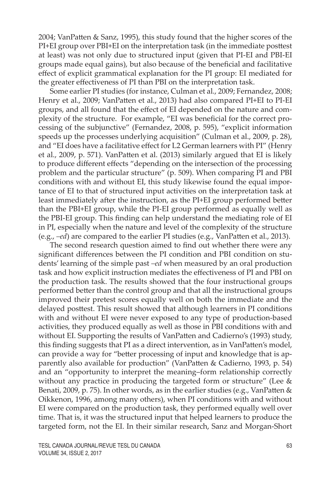2004; VanPatten & Sanz, 1995), this study found that the higher scores of the PI+EI group over PBI+EI on the interpretation task (in the immediate posttest at least) was not only due to structured input (given that PI-EI and PBI-EI groups made equal gains), but also because of the beneficial and facilitative effect of explicit grammatical explanation for the PI group: EI mediated for the greater effectiveness of PI than PBI on the interpretation task.

Some earlier PI studies (for instance, Culman et al., 2009; Fernandez, 2008; Henry et al., 2009; VanPatten et al., 2013) had also compared PI+EI to PI-EI groups, and all found that the effect of EI depended on the nature and complexity of the structure. For example, "EI was beneficial for the correct processing of the subjunctive" (Fernandez, 2008, p. 595), "explicit information speeds up the processes underlying acquisition" (Culman et al., 2009, p. 28), and "EI does have a facilitative effect for L2 German learners with PI" (Henry et al., 2009, p. 571). VanPatten et al. (2013) similarly argued that EI is likely to produce different effects "depending on the intersection of the processing problem and the particular structure" (p. 509). When comparing PI and PBI conditions with and without EI, this study likewise found the equal importance of EI to that of structured input activities on the interpretation task at least immediately after the instruction, as the PI+EI group performed better than the PBI+EI group, while the PI-EI group performed as equally well as the PBI-EI group. This finding can help understand the mediating role of EI in PI, especially when the nature and level of the complexity of the structure (e.g., *–ed*) are compared to the earlier PI studies (e.g., VanPatten et al., 2013).

The second research question aimed to find out whether there were any significant differences between the PI condition and PBI condition on students' learning of the simple past *–ed* when measured by an oral production task and how explicit instruction mediates the effectiveness of PI and PBI on the production task. The results showed that the four instructional groups performed better than the control group and that all the instructional groups improved their pretest scores equally well on both the immediate and the delayed posttest. This result showed that although learners in PI conditions with and without EI were never exposed to any type of production-based activities, they produced equally as well as those in PBI conditions with and without EI. Supporting the results of VanPatten and Cadierno's (1993) study, this finding suggests that PI as a direct intervention, as in VanPatten's model, can provide a way for "better processing of input and knowledge that is apparently also available for production" (VanPatten & Cadierno, 1993, p. 54) and an "opportunity to interpret the meaning–form relationship correctly without any practice in producing the targeted form or structure" (Lee  $\&$ Benati, 2009, p. 75). In other words, as in the earlier studies (e.g., VanPatten & Oikkenon, 1996, among many others), when PI conditions with and without EI were compared on the production task, they performed equally well over time. That is, it was the structured input that helped learners to produce the targeted form, not the EI. In their similar research, Sanz and Morgan-Short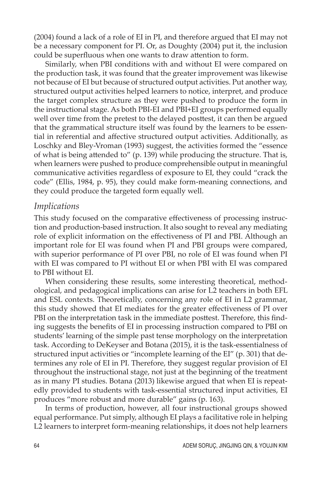(2004) found a lack of a role of EI in PI, and therefore argued that EI may not be a necessary component for PI. Or, as Doughty (2004) put it, the inclusion could be superfluous when one wants to draw attention to form.

Similarly, when PBI conditions with and without EI were compared on the production task, it was found that the greater improvement was likewise not because of EI but because of structured output activities. Put another way, structured output activities helped learners to notice, interpret, and produce the target complex structure as they were pushed to produce the form in the instructional stage. As both PBI-EI and PBI+EI groups performed equally well over time from the pretest to the delayed posttest, it can then be argued that the grammatical structure itself was found by the learners to be essential in referential and affective structured output activities. Additionally, as Loschky and Bley-Vroman (1993) suggest, the activities formed the "essence of what is being attended to" (p. 139) while producing the structure. That is, when learners were pushed to produce comprehensible output in meaningful communicative activities regardless of exposure to EI, they could "crack the code" (Ellis, 1984, p. 95), they could make form-meaning connections, and they could produce the targeted form equally well.

#### *Implications*

This study focused on the comparative effectiveness of processing instruction and production-based instruction. It also sought to reveal any mediating role of explicit information on the effectiveness of PI and PBI. Although an important role for EI was found when PI and PBI groups were compared, with superior performance of PI over PBI, no role of EI was found when PI with EI was compared to PI without EI or when PBI with EI was compared to PBI without EI.

When considering these results, some interesting theoretical, methodological, and pedagogical implications can arise for L2 teachers in both EFL and ESL contexts. Theoretically, concerning any role of EI in L2 grammar, this study showed that EI mediates for the greater effectiveness of PI over PBI on the interpretation task in the immediate posttest. Therefore, this finding suggests the benefits of EI in processing instruction compared to PBI on students' learning of the simple past tense morphology on the interpretation task. According to DeKeyser and Botana (2015), it is the task-essentialness of structured input activities or "incomplete learning of the EI" (p. 301) that determines any role of EI in PI. Therefore, they suggest regular provision of EI throughout the instructional stage, not just at the beginning of the treatment as in many PI studies. Botana (2013) likewise argued that when EI is repeatedly provided to students with task-essential structured input activities, EI produces "more robust and more durable" gains (p. 163).

In terms of production, however, all four instructional groups showed equal performance. Put simply, although EI plays a facilitative role in helping L2 learners to interpret form-meaning relationships, it does not help learners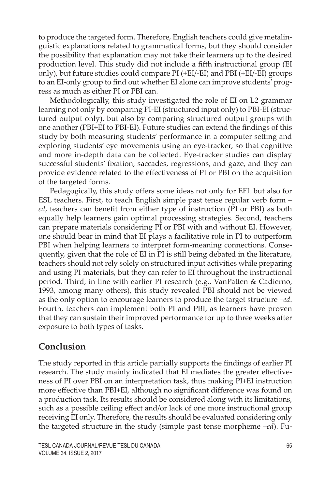to produce the targeted form. Therefore, English teachers could give metalinguistic explanations related to grammatical forms, but they should consider the possibility that explanation may not take their learners up to the desired production level. This study did not include a fifth instructional group (EI only), but future studies could compare PI (+EI/-EI) and PBI (+EI/-EI) groups to an EI-only group to find out whether EI alone can improve students' progress as much as either PI or PBI can.

Methodologically, this study investigated the role of EI on L2 grammar learning not only by comparing PI-EI (structured input only) to PBI-EI (structured output only), but also by comparing structured output groups with one another (PBI+EI to PBI-EI). Future studies can extend the findings of this study by both measuring students' performance in a computer setting and exploring students' eye movements using an eye-tracker, so that cognitive and more in-depth data can be collected. Eye-tracker studies can display successful students' fixation, saccades, regressions, and gaze, and they can provide evidence related to the effectiveness of PI or PBI on the acquisition of the targeted forms.

Pedagogically, this study offers some ideas not only for EFL but also for ESL teachers. First, to teach English simple past tense regular verb form *– ed*, teachers can benefit from either type of instruction (PI or PBI) as both equally help learners gain optimal processing strategies. Second, teachers can prepare materials considering PI or PBI with and without EI. However, one should bear in mind that EI plays a facilitative role in PI to outperform PBI when helping learners to interpret form-meaning connections. Consequently, given that the role of EI in PI is still being debated in the literature, teachers should not rely solely on structured input activities while preparing and using PI materials, but they can refer to EI throughout the instructional period. Third, in line with earlier PI research (e.g., VanPatten & Cadierno, 1993, among many others), this study revealed PBI should not be viewed as the only option to encourage learners to produce the target structure *–ed*. Fourth, teachers can implement both PI and PBI, as learners have proven that they can sustain their improved performance for up to three weeks after exposure to both types of tasks.

### **Conclusion**

The study reported in this article partially supports the findings of earlier PI research. The study mainly indicated that EI mediates the greater effectiveness of PI over PBI on an interpretation task, thus making PI+EI instruction more effective than PBI+EI, although no significant difference was found on a production task. Its results should be considered along with its limitations, such as a possible ceiling effect and/or lack of one more instructional group receiving EI only. Therefore, the results should be evaluated considering only the targeted structure in the study (simple past tense morpheme *–ed*). Fu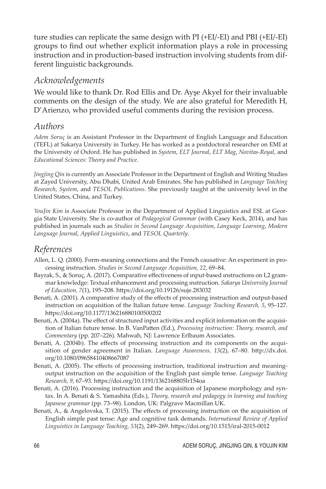ture studies can replicate the same design with PI (+EI/-EI) and PBI (+EI/-EI) groups to find out whether explicit information plays a role in processing instruction and in production-based instruction involving students from different linguistic backgrounds.

### *Acknowledgements*

We would like to thank Dr. Rod Ellis and Dr. Ayşe Akyel for their invaluable comments on the design of the study. We are also grateful for Meredith H, D'Arienzo, who provided useful comments during the revision process.

### *Authors*

*Adem Soruç* is an Assistant Professor in the Department of English Language and Education (TEFL) at Sakarya University in Turkey. He has worked as a postdoctoral researcher on EMI at the University of Oxford. He has published in *System*, *ELT Journal*, *ELT Mag*, *Novitas-Royal*, and *Educational Sciences: Theory and Practice*.

*Jingjing Qin* is currently an Associate Professor in the Department of English and Writing Studies at Zayed University, Abu Dhabi, United Arab Emirates. She has published in *Language Teaching Research*, *System*, and *TESOL Publications*. She previously taught at the university level in the United States, China, and Turkey.

*YouJin Kim* is Associate Professor in the Department of Applied Linguistics and ESL at Georgia State University. She is co-author of *Pedagogical Grammar* (with Casey Keck, 2014), and has published in journals such as *Studies in Second Language Acquisition*, *Language Learning*, *Modern Language Journal*, *Applied Linguistics*, and *TESOL Quarterly*.

# *References*

- Allen, L. Q. (2000). Form-meaning connections and the French causative: An experiment in processing instruction. *Studies in Second Language Acquisition, 22*, 69–84.
- Bayrak, S., & Soruç, A. (2017). Comparative effectiveness of ınput-based ınstructions on L2 grammar knowledge: Textual enhancement and processing ınstruction. *Sakarya University Journal of Education, 7*(1), 195–208. https://doi.org/10.19126/suje.283032
- Benati, A. (2001). A comparative study of the effects of processing instruction and output-based instruction on acquisition of the Italian future tense. *Language Teaching Research, 5*, 95–127. https://doi.org/10.1177/136216880100500202
- Benati, A. (2004a). The effect of structured input activities and explicit information on the acquisition of Italian future tense. In B. VanPatten (Ed.), *Processing instruction: Theory, research, and Commentary* (pp. 207–226). Mahwah, NJ: Lawrence Erlbaum Associates.
- Benati, A. (2004b). The effects of processing instruction and its components on the acquisition of gender agreement in Italian. *Language Awareness, 13*(2), 67–80. http://dx.doi. org/10.1080/09658410408667087
- Benati, A. (2005). The effects of processing instruction, traditional instruction and meaningoutput instruction on the acquisition of the English past simple tense. *Language Teaching Research, 9*, 67–93. https://doi.org/10.1191/1362168805lr154oa
- Benati, A. (2016). Processing instruction and the acquisition of Japanese morphology and syntax. In A. Benati & S. Yamashita (Eds.), *Theory, research and pedagogy in learning and teaching Japanese grammar* (pp. 73–98). London, UK: Palgrave Macmillan UK.
- Benati, A., & Angelovska, T. (2015). The effects of processing instruction on the acquisition of English simple past tense: Age and cognitive task demands. *International Review of Applied Linguistics in Language Teaching, 53*(2), 249–269. https://doi.org/10.1515/iral-2015-0012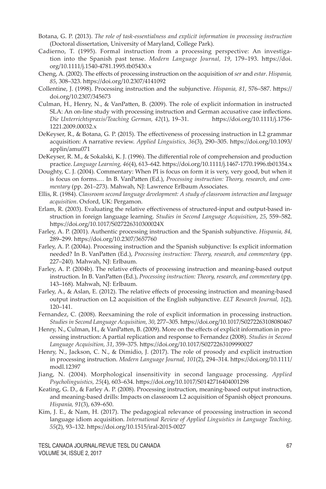- Botana, G. P. (2013). *The role of task-essentialness and explicit information in processing instruction* (Doctoral dissertation, University of Maryland, College Park).
- Cadierno, T. (1995). Formal instruction from a processing perspective: An investigation into the Spanish past tense. *Modern Language Journal, 19*, 179–193. https://doi. org/10.1111/j.1540-4781.1995.tb05430.x
- Cheng, A. (2002). The effects of processing instruction on the acquisition of *ser* and *estar*. *Hispania, 85*, 308–323. https://doi.org/10.2307/4141092
- Collentine, J. (1998). Processing instruction and the subjunctive. *Hispania, 81*, 576–587. https:// doi.org/10.2307/345673
- Culman, H., Henry, N., & VanPatten, B. (2009). The role of explicit information in instructed SLA: An on-line study with processing instruction and German accusative case inflections. *Die Unterrichtspraxis/Teaching German, 42*(1), 19–31. https://doi.org/10.1111/j.1756- 1221.2009.00032.x
- DeKeyser, R., & Botana, G. P. (2015). The effectiveness of processing instruction in L2 grammar acquisition: A narrative review. *Applied Linguistics, 36*(3), 290–305. https://doi.org/10.1093/ applin/amu071
- DeKeyser, R. M., & Sokalski, K. J. (1996). The differential role of comprehension and production practice. *Language Learning, 46*(4), 613–642. https://doi.org/10.1111/j.1467-1770.1996.tb01354.x
- Doughty, C. J. (2004). Commentary: When PI is focus on form it is very, very good, but when it is focus on forms.… In B. VanPatten (Ed.), *Processing instruction: Theory, research, and commentary* (pp. 261–273). Mahwah, NJ: Lawrence Erlbaum Associates.
- Ellis, R. (1984). *Classroom second language development: A study of classroom interaction and language acquisition*. Oxford, UK: Pergamon.
- Erlam, R. (2003). Evaluating the relative effectiveness of structured-input and output-based instruction in foreign language learning. *Studies in Second Language Acquisition*, *25*, 559–582. https://doi.org/10.1017/S027226310300024X
- Farley, A. P. (2001). Authentic processing instruction and the Spanish subjunctive. *Hispania, 84,*  289–299. https://doi.org/10.2307/3657760
- Farley, A. P. (2004a). Processing instruction and the Spanish subjunctive: Is explicit information needed? In B. VanPatten (Ed.), *Processing instruction: Theory, research, and commentary* (pp. 227–240)*.* Mahwah, NJ: Erlbaum.
- Farley, A. P. (2004b). The relative effects of processing instruction and meaning-based output instruction. In B. VanPatten (Ed.), *Processing instruction: Theory, research, and commentary* (pp. 143–168)*.* Mahwah, NJ: Erlbaum.
- Farley, A., & Aslan, E. (2012). The relative effects of processing instruction and meaning-based output instruction on L2 acquisition of the English subjunctive. *ELT Research Journal, 1*(2), 120–141.
- Fernandez, C. (2008). Reexamining the role of explicit information in processing instruction. *Studies in Second Language Acquisition, 30*, 277–305. https://doi.org/10.1017/S0272263108080467
- Henry, N., Culman, H., & VanPatten, B. (2009). More on the effects of explicit information in processing instruction: A partial replication and response to Fernandez (2008). *Studies in Second Language Acquisition, 31*, 359–375. https://doi.org/10.1017/S0272263109990027
- Henry, N., Jackson, C. N., & Dimidio, J. (2017). The role of prosody and explicit instruction in processing instruction. *Modern Language Journal, 101*(2), 294–314. https://doi.org/10.1111/ modl.12397
- Jiang, N. (2004). Morphological insensitivity in second language processing. *Applied Psycholinguistics, 25*(4), 603–634. https://doi.org/10.1017/S0142716404001298
- Keating, G. D., & Farley A. P. (2008). Processing instruction, meaning-based output instruction, and meaning-based drills: Impacts on classroom L2 acquisition of Spanish object pronouns. *Hispania, 91*(3), 639–650.
- Kim, J. E., & Nam, H. (2017). The pedagogical relevance of processing instruction in second language idiom acquisition. *International Review of Applied Linguistics in Language Teaching, 55*(2), 93–132. https://doi.org/10.1515/iral-2015-0027

TESL CANADA JOURNAL/REVUE TESL DU CANADA 67 Volume 34, issue 2, 2017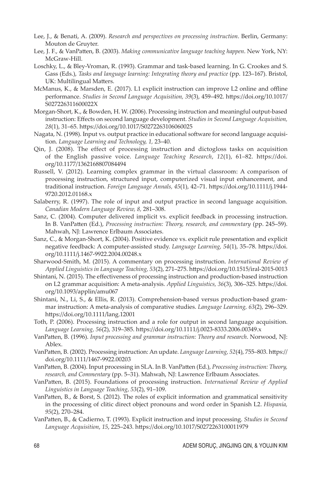- Lee, J., & Benati, A. (2009). *Research and perspectives on processing instruction*. Berlin, Germany: Mouton de Gruyter.
- Lee, J. F., & VanPatten, B. (2003). *Making communicative language teaching happen*. New York, NY: McGraw-Hill.
- Loschky, L., & Bley-Vroman, R. (1993). Grammar and task-based learning. In G. Crookes and S. Gass (Eds.), *Tasks and language learning: Integrating theory and practice* (pp. 123–167). Bristol, UK: Multilingual Matters.
- McManus, K., & Marsden, E. (2017). L1 explicit instruction can improve L2 online and offline performance. *Studies in Second Language Acquisition, 39*(3), 459–492. https://doi.org/10.1017/ S027226311600022X
- Morgan-Short, K., & Bowden, H. W. (2006). Processing instruction and meaningful output-based instruction: Effects on second language development. *Studies in Second Language Acquisition, 28*(1), 31–65. https://doi.org/10.1017/S0272263106060025
- Nagata, N. (1998). Input vs. output practice in educational software for second language acquisition. *Language Learning and Technology, 1,* 23–40.
- Qin, J. (2008). The effect of processing instruction and dictogloss tasks on acquisition of the English passive voice. *Language Teaching Research*, *12*(1), 61–82. https://doi. org/10.1177/1362168807084494
- Russell, V. (2012). Learning complex grammar in the virtual classroom: A comparison of processing instruction, structured input, computerized visual input enhancement, and traditional instruction. *Foreign Language Annals, 45*(1), 42–71. https://doi.org/10.1111/j.1944- 9720.2012.01168.x
- Salaberry, R. (1997). The role of input and output practice in second language acquisition. *Canadian Modern Language Review, 8,* 281–308.
- Sanz, C. (2004). Computer delivered implicit vs. explicit feedback in processing instruction. In B. VanPatten (Ed.), *Processing instruction: Theory, research, and commentary* (pp. 245–59). Mahwah, NJ: Lawrence Erlbaum Associates.
- Sanz, C., & Morgan-Short, K. (2004). Positive evidence vs. explicit rule presentation and explicit negative feedback: A computer-assisted study. *Language Learning, 54*(1), 35–78. https://doi. org/10.1111/j.1467-9922.2004.00248.x
- Sharwood-Smith, M. (2015). A commentary on processing instruction. *International Review of Applied Linguistics in Language Teaching, 53*(2), 271–275. https://doi.org/10.1515/iral-2015-0013
- Shintani, N. (2015). The effectiveness of processing instruction and production-based instruction on L2 grammar acquisition: A meta-analysis. *Applied Linguistics, 36*(3), 306–325. https://doi. org/10.1093/applin/amu067
- Shintani, N., Li, S., & Ellis, R. (2013). Comprehension-based versus production-based grammar instruction: A meta-analysis of comparative studies. *Language Learning, 63*(2), 296–329. https://doi.org/10.1111/lang.12001
- Toth, P. (2006). Processing instruction and a role for output in second language acquisition. *Language Learning, 56*(2), 319–385. https://doi.org/10.1111/j.0023-8333.2006.00349.x
- VanPatten, B. (1996). *Input processing and grammar instruction: Theory and research*. Norwood, NJ: Ablex.
- VanPatten, B. (2002). Processing instruction: An update. *Language Learning, 52*(4), 755–803. https:// doi.org/10.1111/1467-9922.00203
- VanPatten, B. (2004). Input processing in SLA. In B. VanPatten (Ed.), *Processing instruction: Theory, research, and Commentary* (pp. 5–31). Mahwah, NJ: Lawrence Erlbaum Associates.
- VanPatten, B. (2015). Foundations of processing instruction. *International Review of Applied Linguistics in Language Teaching*, *53*(2), 91–109.
- VanPatten, B., & Borst, S. (2012). The roles of explicit information and grammatical sensitivity in the processing of clitic direct object pronouns and word order in Spanish L2. *Hispania, 95*(2), 270–284.
- VanPatten, B., & Cadierno, T. (1993). Explicit instruction and input processing. *Studies in Second Language Acquisition*, *15*, 225–243. https://doi.org/10.1017/S0272263100011979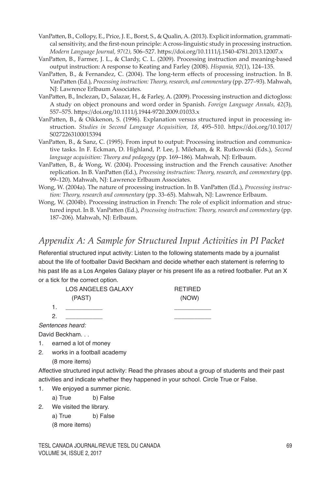- VanPatten, B., Collopy, E., Price, J. E., Borst, S., & Qualin, A. (2013). Explicit information, grammatical sensitivity, and the first-noun principle: A cross-linguistic study in processing instruction. *Modern Language Journal, 97(2),* 506–527. https://doi.org/10.1111/j.1540-4781.2013.12007.x
- VanPatten, B., Farmer, J. L., & Clardy, C. L. (2009). Processing instruction and meaning-based output instruction: A response to Keating and Farley (2008). *Hispania, 92*(1), 124–135.
- VanPatten, B., & Fernandez, C. (2004). The long-term effects of processing instruction. In B. VanPatten (Ed.), *Processing instruction: Theory, research, and commentary* (pp. 277–93). Mahwah, NJ: Lawrence Erlbaum Associates.
- VanPatten, B., Inclezan, D., Salazar, H., & Farley, A. (2009). Processing instruction and dictogloss: A study on object pronouns and word order in Spanish. *Foreign Language Annals, 42*(3), 557–575. https://doi.org/10.1111/j.1944-9720.2009.01033.x
- VanPatten, B., & Oikkenon, S. (1996). Explanation versus structured input in processing instruction. *Studies in Second Language Acquisition, 18*, 495–510. https://doi.org/10.1017/ S0272263100015394
- VanPatten, B., & Sanz, C. (1995). From input to output: Processing instruction and communicative tasks. In F. Eckman, D. Highland, P. Lee, J. Mileham, & R. Rutkowski (Eds.), *Second language acquisition: Theory and pedagogy* (pp. 169–186)*.* Mahwah, NJ: Erlbaum.
- VanPatten, B., & Wong, W. (2004). Processing instruction and the French causative: Another replication. In B. VanPatten (Ed.), *Processing instruction: Theory, research, and commentary* (pp. 99–120). Mahwah, NJ: Lawrence Erlbaum Associates.
- Wong, W. (2004a). The nature of processing instruction. In B. VanPatten (Ed.), *Processing instruction: Theory, research and commentary* (pp. 33–65). Mahwah, NJ: Lawrence Erlbaum.
- Wong, W. (2004b). Processing instruction in French: The role of explicit information and structured input. In B. VanPatten (Ed.), *Processing instruction: Theory, research and commentary* (pp. 187–206)*.* Mahwah, NJ: Erlbaum.

### *Appendix A: A Sample for Structured Input Activities in PI Packet*

Referential structured input activity: Listen to the following statements made by a journalist about the life of footballer David Beckham and decide whether each statement is referring to his past life as a Los Angeles Galaxy player or his present life as a retired footballer. Put an X or a tick for the correct option.

| LOS ANGELES GALAXY | <b>RETIRED</b> |
|--------------------|----------------|
| (PAST)             | (NOW)          |
| 1.                 |                |
| 2                  |                |
| Sentences heard:   |                |
|                    |                |

David Beckham...

- 1. earned a lot of money
- 2. works in a football academy (8 more items)

Affective structured input activity: Read the phrases about a group of students and their past activities and indicate whether they happened in your school. Circle True or False.

1. We enjoyed a summer picnic.

a) True b) False

- 2. We visited the library.
- a) True b) False (8 more items)

TESL CANADA JOURNAL/REVUE TESL DU CANADA 69 Volume 34, issue 2, 2017